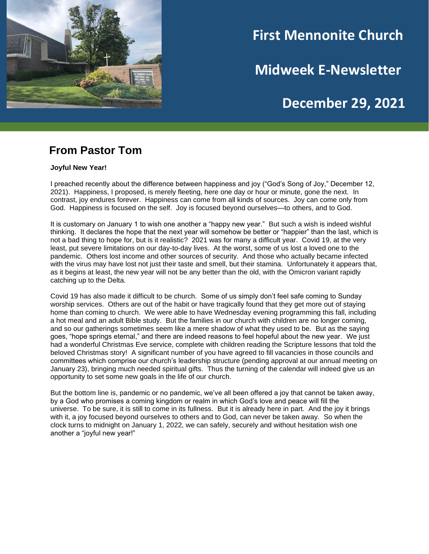

# **First Mennonite Church**

**Midweek E-Newsletter**

## **December 29, 2021**

#### **From Pastor Tom**

**Joyful New Year!**

I preached recently about the difference between happiness and joy ("God's Song of Joy," December 12, 2021). Happiness, I proposed, is merely fleeting, here one day or hour or minute, gone the next. In contrast, joy endures forever. Happiness can come from all kinds of sources. Joy can come only from God. Happiness is focused on the self. Joy is focused beyond ourselves—to others, and to God.

It is customary on January 1 to wish one another a "happy new year." But such a wish is indeed wishful thinking. It declares the hope that the next year will somehow be better or "happier" than the last, which is not a bad thing to hope for, but is it realistic? 2021 was for many a difficult year. Covid 19, at the very least, put severe limitations on our day-to-day lives. At the worst, some of us lost a loved one to the pandemic. Others lost income and other sources of security. And those who actually became infected with the virus may have lost not just their taste and smell, but their stamina. Unfortunately it appears that, as it begins at least, the new year will not be any better than the old, with the Omicron variant rapidly catching up to the Delta.

Covid 19 has also made it difficult to be church. Some of us simply don't feel safe coming to Sunday worship services. Others are out of the habit or have tragically found that they get more out of staying home than coming to church. We were able to have Wednesday evening programming this fall, including a hot meal and an adult Bible study. But the families in our church with children are no longer coming, and so our gatherings sometimes seem like a mere shadow of what they used to be. But as the saying goes, "hope springs eternal," and there are indeed reasons to feel hopeful about the new year. We just had a wonderful Christmas Eve service, complete with children reading the Scripture lessons that told the beloved Christmas story! A significant number of you have agreed to fill vacancies in those councils and committees which comprise our church's leadership structure (pending approval at our annual meeting on January 23), bringing much needed spiritual gifts. Thus the turning of the calendar will indeed give us an opportunity to set some new goals in the life of our church.

But the bottom line is, pandemic or no pandemic, we've all been offered a joy that cannot be taken away, by a God who promises a coming kingdom or realm in which God's love and peace will fill the universe. To be sure, it is still to come in its fullness. But it is already here in part. And the joy it brings with it, a joy focused beyond ourselves to others and to God, can never be taken away. So when the clock turns to midnight on January 1, 2022, we can safely, securely and without hesitation wish one another a "joyful new year!"